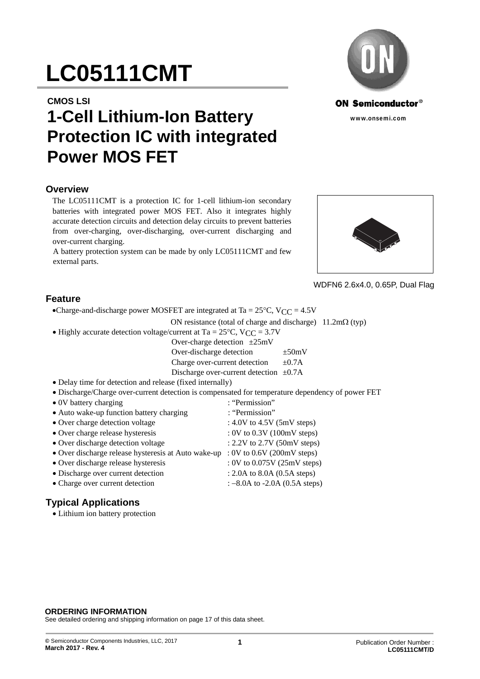# **LC05111CMT**

#### **CMOS LSI**

## **1-Cell Lithium-Ion Battery Protection IC with integrated Power MOS FET**

#### **Overview**

The LC05111CMT is a protection IC for 1-cell lithium-ion secondary batteries with integrated power MOS FET. Also it integrates highly accurate detection circuits and detection delay circuits to prevent batteries from over-charging, over-discharging, over-current discharging and over-current charging.

A battery protection system can be made by only LC05111CMT and few external parts.





WDFN6 2.6x4.0, 0.65P, Dual Flag

#### **Feature**

•Charge-and-discharge power MOSFET are integrated at Ta =  $25^{\circ}$ C, V<sub>CC</sub> =  $4.5V$ 

ON resistance (total of charge and discharge)  $11.2 \text{m}\Omega$  (typ)

 $\bullet$  Highly accurate detection voltage/current at Ta = 25°C, VCC = 3.7V

| Over-charge detection $\pm 25 \text{mV}$     |             |
|----------------------------------------------|-------------|
| Over-discharge detection                     | $\pm 50$ mV |
| Charge over-current detection                | $\pm 0.7A$  |
| Discharge over-current detection $\pm 0.7$ A |             |

- Delay time for detection and release (fixed internally)
- Discharge/Charge over-current detection is compensated for temperature dependency of power FET
- 0V battery charging : "Permission" • Auto wake-up function battery charging : "Permission" • Over charge detection voltage : 4.0V to 4.5V (5mV steps) • Over charge release hysteresis : 0V to 0.3V (100mV steps) • Over discharge detection voltage : 2.2V to 2.7V (50mV steps) Over discharge release hysteresis at Auto wake-up : 0V to 0.6V (200mV steps) Over discharge release hysteresis : 0V to 0.075V (25mV steps) • Discharge over current detection : 2.0A to 8.0A (0.5A steps) • Charge over current detection : -8.0A to -2.0A (0.5A steps)

## **Typical Applications**

Lithium ion battery protection

#### **ORDERING INFORMATION**

See detailed ordering and shipping information on page 17 of this data sheet.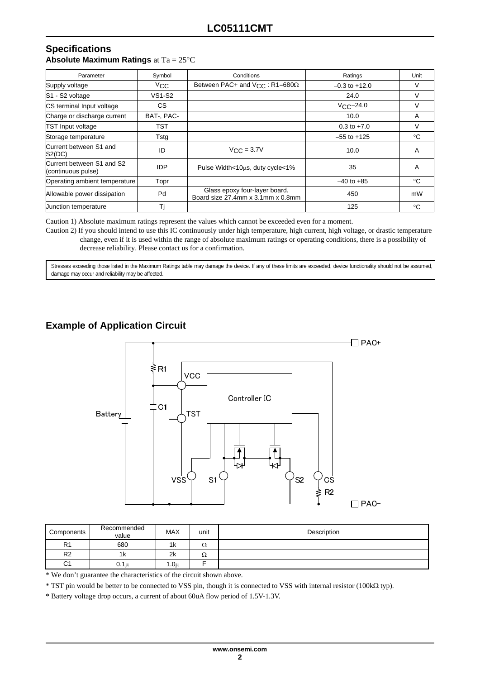#### **Specifications Absolute Maximum Ratings** at Ta = 25°C

| Parameter                                       | Symbol        | Conditions                                                         | Ratings           | Unit |
|-------------------------------------------------|---------------|--------------------------------------------------------------------|-------------------|------|
| Supply voltage                                  | $V_{\rm CC}$  | Between PAC+ and $V_{C}C$ : R1=680 $\Omega$                        | $-0.3$ to $+12.0$ | v    |
| S1 - S2 voltage                                 | <b>VS1-S2</b> |                                                                    | 24.0              | V    |
| CS terminal Input voltage                       | CS.           |                                                                    | $VC-C=24.0$       | V    |
| Charge or discharge current                     | BAT, PAC-     |                                                                    | 10.0              | Α    |
| <b>TST Input voltage</b>                        | <b>TST</b>    |                                                                    | $-0.3$ to $+7.0$  | V    |
| Storage temperature                             | Tsta          |                                                                    | $-55$ to $+125$   | °C   |
| Current between S1 and<br>S2(DC)                | ID            | $V_{C,C} = 3.7V$                                                   | 10.0              | A    |
| Current between S1 and S2<br>(continuous pulse) | <b>IDP</b>    | Pulse Width<10us, duty cycle<1%                                    | 35                | A    |
| Operating ambient temperature                   | Topr          |                                                                    | $-40$ to $+85$    | °C   |
| Allowable power dissipation                     | Pd            | Glass epoxy four-layer board.<br>Board size 27.4mm x 3.1mm x 0.8mm | 450               | mW   |
| Junction temperature                            | Τj            |                                                                    | 125               | °C   |

Caution 1) Absolute maximum ratings represent the values which cannot be exceeded even for a moment.

Caution 2) If you should intend to use this IC continuously under high temperature, high current, high voltage, or drastic temperature change, even if it is used within the range of absolute maximum ratings or operating conditions, there is a possibility of decrease reliability. Please contact us for a confirmation.

Stresses exceeding those listed in the Maximum Ratings table may damage the device. If any of these limits are exceeded, device functionality should not be assumed, damage may occur and reliability may be affected.

## **Example of Application Circuit**



| Components     | Recommended<br>value | <b>MAX</b> | unit | Description |
|----------------|----------------------|------------|------|-------------|
| R <sub>1</sub> | 680                  | 1k         | 32   |             |
| R <sub>2</sub> | 1κ                   | 2k         | 75   |             |
| C1             | $0.1\mu$             | 1.0u       |      |             |

\* We don't guarantee the characteristics of the circuit shown above.

\* TST pin would be better to be connected to VSS pin, though it is connected to VSS with internal resistor (100k typ).

\* Battery voltage drop occurs, a current of about 60uA flow period of 1.5V-1.3V.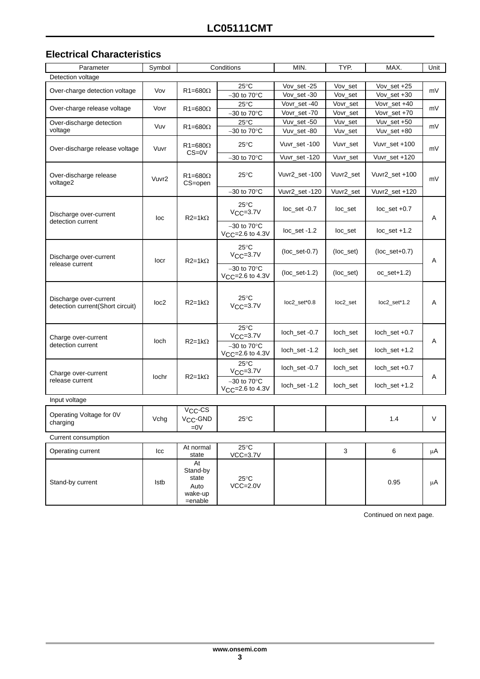### **Electrical Characteristics**

| Parameter                                                  | Symbol           | Conditions                                            |                                                         | MIN.                         | TYP.                                                    | MAX.                         | Unit          |                              |
|------------------------------------------------------------|------------------|-------------------------------------------------------|---------------------------------------------------------|------------------------------|---------------------------------------------------------|------------------------------|---------------|------------------------------|
| Detection voltage                                          |                  |                                                       |                                                         |                              |                                                         |                              |               |                              |
|                                                            |                  |                                                       | $25^{\circ}$ C                                          | Vov_set -25                  | Vov_set                                                 | Vov_set +25                  |               |                              |
| Over-charge detection voltage                              | Vov              | $R1 = 680\Omega$                                      | $-30$ to $70^{\circ}$ C                                 | Vov_set -30                  | Vov_set                                                 | Vov_set +30                  | mV            |                              |
| Over-charge release voltage                                |                  |                                                       | $25^{\circ}$ C                                          | Vovr_set-40                  | Vovr_set                                                | Vovr_set +40                 |               |                              |
|                                                            | Vovr             | $R1 = 680\Omega$                                      | $-30$ to $70^{\circ}$ C                                 | Vovr_set-70                  | Vovr_set                                                | Vovr_set +70                 | mV            |                              |
| Over-discharge detection                                   | Vuv              | $R1 = 680\Omega$                                      | $25^{\circ}$ C                                          | Vuv_set -50                  | Vuv_set                                                 | Vuv_set +50                  | mV            |                              |
| voltage                                                    |                  |                                                       | $-30$ to $70^{\circ}$ C                                 | Vuv_set-80                   | Vuv_set                                                 | Vuv_set +80                  |               |                              |
| Over-discharge release voltage                             | Vuvr             | $R1 = 680\Omega$<br>$CS = 0V$                         | $25^{\circ}$ C                                          | Vuvr set -100                | Vuvr_set                                                | Vuvr_set +100                | mV            |                              |
|                                                            |                  |                                                       | $-30$ to $70^{\circ}$ C                                 | Vuvr_set -120                | Vuvr_set                                                | Vuvr_set +120                |               |                              |
| Over-discharge release<br>voltage2                         | Vuvr2            | $R1 = 680\Omega$<br>CS=open                           | $25^{\circ}$ C                                          | Vuvr2_set-100                | Vuvr2_set                                               | Vuvr2_set +100               | mV            |                              |
|                                                            |                  |                                                       | $-30$ to $70^{\circ}$ C                                 | Vuvr2_set-120                | Vuvr2_set                                               | Vuvr2_set +120               |               |                              |
| Discharge over-current<br>detection current                | loc              | $R2=1k\Omega$                                         | $25^{\circ}$ C<br>$V_{CC}=3.7V$                         | loc_set -0.7                 | loc_set                                                 | $loc$ _set $+0.7$            | A             |                              |
|                                                            |                  |                                                       | $-30$ to $70^{\circ}$ C<br>$V_{CC} = 2.6$ to 4.3V       | $loc$ _set -1.2              | loc_set                                                 | $loc$ _set +1.2              |               |                              |
| Discharge over-current                                     | locr             | $R2=1k\Omega$                                         | $25^{\circ}$ C<br>$V_{CC} = 3.7V$                       | $(loc_set-0.7)$              | $(loc\_set)$                                            | $(loc_set+0.7)$              | Α             |                              |
| release current                                            |                  |                                                       | $-30$ to $70^{\circ}$ C<br>V <sub>CC</sub> =2.6 to 4.3V | $(loc_set-1.2)$              | (loc_set)                                               | $oc$ _set+1.2)               |               |                              |
| Discharge over-current<br>detection current(Short circuit) | loc <sub>2</sub> | $R2=1k\Omega$                                         | $25^{\circ}$ C<br>$V_{CC}=3.7V$                         | loc2_set*0.8                 | loc2_set                                                | loc2_set*1.2                 | Α             |                              |
| Charge over-current                                        | loch             |                                                       |                                                         | 25°C<br>$V_{CC} = 3.7V$      | loch_set -0.7                                           | loch_set                     | loch_set +0.7 |                              |
| detection current                                          |                  |                                                       |                                                         | $R2=1k\Omega$                | $-30$ to $70^{\circ}$ C<br>V <sub>CC</sub> =2.6 to 4.3V | loch_set -1.2                | loch_set      | $loch$ <sub>_</sub> set +1.2 |
| Charge over-current                                        | lochr            |                                                       |                                                         | $25^{\circ}$ C<br>$VCC=3.7V$ | loch_set -0.7                                           | loch_set                     | loch_set +0.7 |                              |
| release current                                            |                  | $R2=1k\Omega$                                         | $-30$ to $70^{\circ}$ C<br>$V_{CC} = 2.6$ to 4.3V       | loch_set -1.2                | loch_set                                                | $loch$ <sub>_</sub> set +1.2 | Α             |                              |
| Input voltage                                              |                  |                                                       |                                                         |                              |                                                         |                              |               |                              |
| Operating Voltage for 0V<br>charging                       | Vchg             | V <sub>CC</sub> -CS<br>V <sub>CC</sub> -GND<br>$=0V$  | $25^{\circ}$ C                                          |                              |                                                         | 1.4                          | V             |                              |
| Current consumption                                        |                  |                                                       |                                                         |                              |                                                         |                              |               |                              |
| Operating current                                          | Icc              | At normal<br>state                                    | $25^{\circ}$ C<br>$VCC=3.7V$                            |                              | 3                                                       | 6                            | $\mu$ A       |                              |
| Stand-by current                                           | Istb             | At<br>Stand-by<br>state<br>Auto<br>wake-up<br>=enable | $25^{\circ}$ C<br>$VCC=2.0V$                            |                              |                                                         | 0.95                         | μA            |                              |

Continued on next page.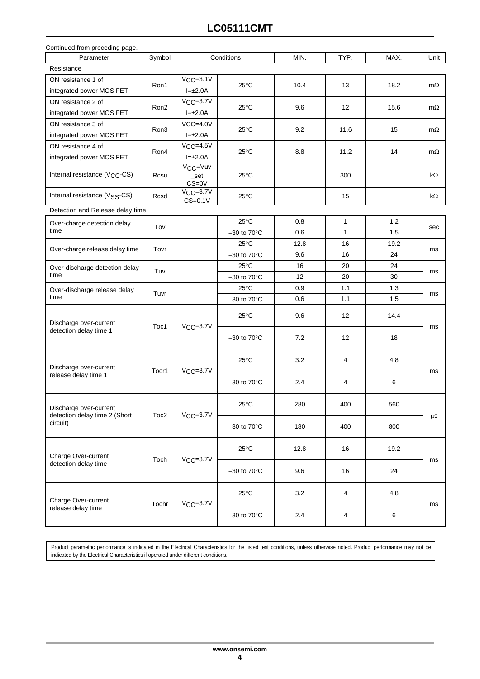## **LC05111CMT**

| Continued from preceding page.                          |                  |                                           |                         |                                  |              |      |           |    |
|---------------------------------------------------------|------------------|-------------------------------------------|-------------------------|----------------------------------|--------------|------|-----------|----|
| Parameter                                               | Symbol           | Conditions                                |                         | MIN.                             | TYP.         | MAX. | Unit      |    |
| Resistance                                              |                  |                                           |                         |                                  |              |      |           |    |
| ON resistance 1 of                                      | Ron1             | $V_{CC}=3.1V$                             | $25^{\circ}$ C          | 10.4                             | 13           | 18.2 | $m\Omega$ |    |
| integrated power MOS FET                                |                  | $I=\pm 2.0A$                              |                         |                                  |              |      |           |    |
| ON resistance 2 of                                      | Ron <sub>2</sub> | $VCC=3.7V$                                |                         | 9.6                              | 12           | 15.6 |           |    |
| integrated power MOS FET                                |                  | $I=\pm 2.0A$                              | $25^{\circ}$ C          |                                  |              |      | $m\Omega$ |    |
| ON resistance 3 of                                      |                  | $VCC=4.0V$                                |                         |                                  |              |      |           |    |
| integrated power MOS FET                                | Ron3             | $I=\pm 2.0A$                              | 25°C                    | 9.2                              | 11.6         | 15   | $m\Omega$ |    |
| ON resistance 4 of                                      |                  | $VCC=4.5V$                                |                         |                                  |              |      |           |    |
| integrated power MOS FET                                | Ron4             | $I=\pm 2.0A$                              | $25^{\circ}$ C          | 8.8                              | 11.2         | 14   | $m\Omega$ |    |
| Internal resistance (V <sub>CC</sub> -CS)               | Rcsu             | V <sub>CC</sub> =Vuv<br>_set<br>$CS = 0V$ | 25°C                    |                                  | 300          |      | $k\Omega$ |    |
| Internal resistance (V <sub>SS</sub> -CS)               | Rcsd             | $V_{\text{CC}}=3.7V$<br>$CS=0.1V$         | $25^{\circ}$ C          |                                  | 15           |      | kΩ        |    |
| Detection and Release delay time                        |                  |                                           |                         |                                  |              |      |           |    |
| Over-charge detection delay                             | Tov              |                                           | $25^{\circ}$ C          | 0.8                              | $\mathbf{1}$ | 1.2  | sec       |    |
| time                                                    |                  |                                           | $-30$ to $70^{\circ}$ C | 0.6                              | $\mathbf{1}$ | 1.5  |           |    |
|                                                         | Tovr             |                                           | $25^{\circ}$ C          | 12.8                             | 16           | 19.2 |           |    |
| Over-charge release delay time                          |                  |                                           | $-30$ to $70^{\circ}$ C | 9.6                              | 16           | 24   | ms        |    |
| Over-discharge detection delay                          | Tuv              |                                           |                         | $25^{\circ}$ C                   | 16           | 20   | 24        |    |
| time                                                    |                  |                                           | $-30$ to $70^{\circ}$ C | 12                               | 20           | 30   | ms        |    |
| Over-discharge release delay                            | Tuvr             |                                           | 25°C                    | 0.9                              | 1.1          | 1.3  |           |    |
| time                                                    |                  |                                           | $-30$ to $70^{\circ}$ C | 0.6                              | 1.1          | 1.5  | ms        |    |
| Discharge over-current                                  | Toc1             |                                           | $VCC=3.7V$              | $25^{\circ}$ C                   | 9.6          | 12   | 14.4      | ms |
| detection delay time 1                                  |                  |                                           |                         | $-30$ to 70 $\mathrm{^{\circ}C}$ | 7.2          | 12   | 18        |    |
| Discharge over-current                                  | Tocr1            | $V_{CC}=3.7V$                             | $25^{\circ}$ C          | 3.2                              | 4            | 4.8  | ms        |    |
| release delay time 1                                    |                  |                                           | $-30$ to $70^{\circ}$ C | 2.4                              | 4            | 6    |           |    |
| Discharge over-current<br>detection delay time 2 (Short |                  | $V_{\text{CC}}=3.7V$                      | $25^{\circ}$ C          | 280                              | 400          | 560  |           |    |
| circuit)                                                | Toc <sub>2</sub> |                                           | $-30$ to $70^{\circ}$ C | 180                              | 400          | 800  | $\mu$ s   |    |
| Charge Over-current                                     |                  |                                           | $25^{\circ}$ C          | 12.8                             | 16           | 19.2 |           |    |
| detection delay time                                    | Toch             | $VCC=3.7V$                                | $-30$ to $70^{\circ}$ C | 9.6                              | 16           | 24   | ms        |    |
| Charge Over-current                                     |                  | $V_{CC} = 3.7V$                           | $25^{\circ}$ C          | 3.2                              | 4            | 4.8  |           |    |
| release delay time                                      | Tochr            |                                           |                         | $-30$ to $70^{\circ}$ C          | 2.4          | 4    | 6         | ms |

Product parametric performance is indicated in the Electrical Characteristics for the listed test conditions, unless otherwise noted. Product performance may not be indicated by the Electrical Characteristics if operated under different conditions.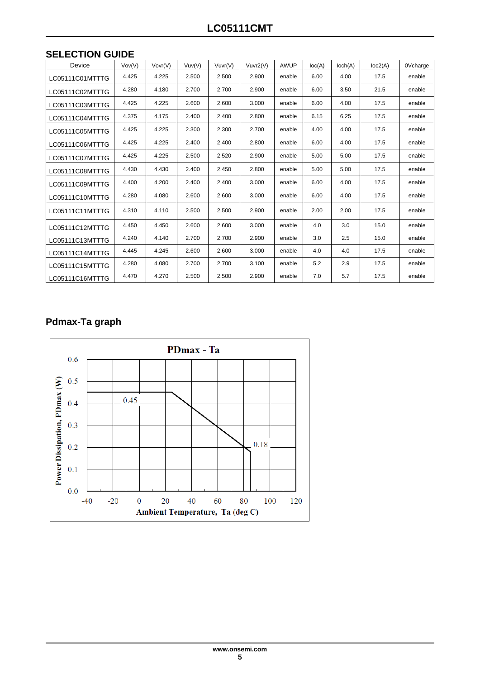| <b>SELECTION GUIDE</b> |  |
|------------------------|--|
|------------------------|--|

| Device          | Vov(V) | Vovr(V) | Vuv(V) | Vuvr(V) | Vuvr2(V) | <b>AWUP</b> | loc(A) | Ioch(A) | loc2(A) | 0Vcharge |
|-----------------|--------|---------|--------|---------|----------|-------------|--------|---------|---------|----------|
| LC05111C01MTTTG | 4.425  | 4.225   | 2.500  | 2.500   | 2.900    | enable      | 6.00   | 4.00    | 17.5    | enable   |
| LC05111C02MTTTG | 4.280  | 4.180   | 2.700  | 2.700   | 2.900    | enable      | 6.00   | 3.50    | 21.5    | enable   |
| LC05111C03MTTTG | 4.425  | 4.225   | 2.600  | 2.600   | 3.000    | enable      | 6.00   | 4.00    | 17.5    | enable   |
| LC05111C04MTTTG | 4.375  | 4.175   | 2.400  | 2.400   | 2.800    | enable      | 6.15   | 6.25    | 17.5    | enable   |
| LC05111C05MTTTG | 4.425  | 4.225   | 2.300  | 2.300   | 2.700    | enable      | 4.00   | 4.00    | 17.5    | enable   |
| LC05111C06MTTTG | 4.425  | 4.225   | 2.400  | 2.400   | 2.800    | enable      | 6.00   | 4.00    | 17.5    | enable   |
| LC05111C07MTTTG | 4.425  | 4.225   | 2.500  | 2.520   | 2.900    | enable      | 5.00   | 5.00    | 17.5    | enable   |
| LC05111C08MTTTG | 4.430  | 4.430   | 2.400  | 2.450   | 2.800    | enable      | 5.00   | 5.00    | 17.5    | enable   |
| LC05111C09MTTTG | 4.400  | 4.200   | 2.400  | 2.400   | 3.000    | enable      | 6.00   | 4.00    | 17.5    | enable   |
| LC05111C10MTTTG | 4.280  | 4.080   | 2.600  | 2.600   | 3.000    | enable      | 6.00   | 4.00    | 17.5    | enable   |
| LC05111C11MTTTG | 4.310  | 4.110   | 2.500  | 2.500   | 2.900    | enable      | 2.00   | 2.00    | 17.5    | enable   |
| LC05111C12MTTTG | 4.450  | 4.450   | 2.600  | 2.600   | 3.000    | enable      | 4.0    | 3.0     | 15.0    | enable   |
| LC05111C13MTTTG | 4.240  | 4.140   | 2.700  | 2.700   | 2.900    | enable      | 3.0    | 2.5     | 15.0    | enable   |
| LC05111C14MTTTG | 4.445  | 4.245   | 2.600  | 2.600   | 3.000    | enable      | 4.0    | 4.0     | 17.5    | enable   |
| LC05111C15MTTTG | 4.280  | 4.080   | 2.700  | 2.700   | 3.100    | enable      | 5.2    | 2.9     | 17.5    | enable   |
| LC05111C16MTTTG | 4.470  | 4.270   | 2.500  | 2.500   | 2.900    | enable      | 7.0    | 5.7     | 17.5    | enable   |

## **Pdmax-Ta graph**

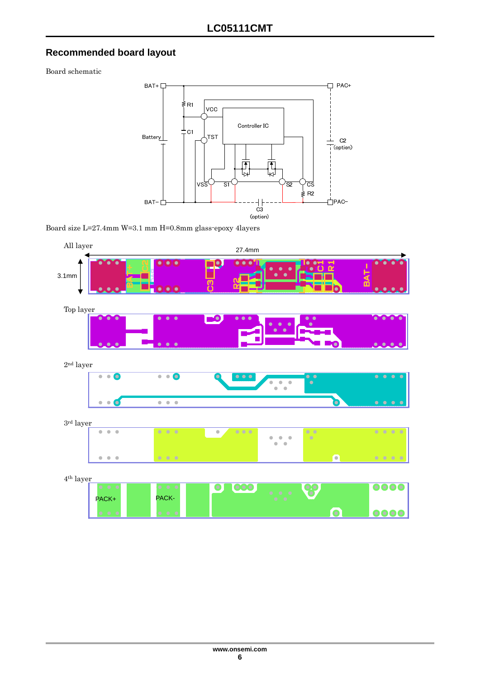## **Recommended board layout**

Board schematic



Board size L=27.4mm W=3.1 mm H=0.8mm glass-epoxy 4layers

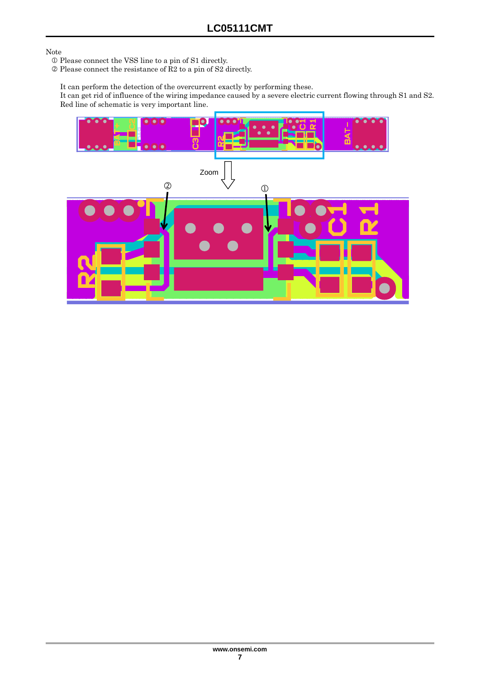#### Note

- Please connect the VSS line to a pin of S1 directly.
- $\circledcirc$  Please connect the resistance of R2 to a pin of S2 directly.
	- It can perform the detection of the overcurrent exactly by performing these.

It can get rid of influence of the wiring impedance caused by a severe electric current flowing through S1 and S2. Red line of schematic is very important line.

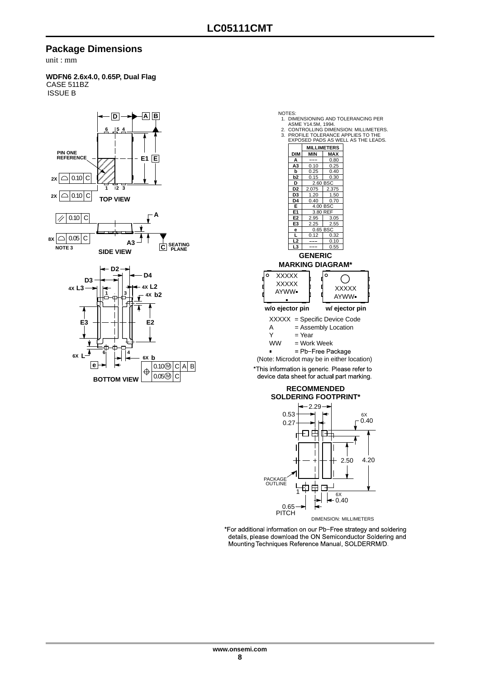#### **Package Dimensions**

unit : mm

#### **WDFN6 2.6x4.0, 0.65P, Dual Flag** CASE 511BZ ISSUE B



#### NOTES: 1. DIMENSIONING AND TOLERANCING PER ASME Y14.5M, 1994. 2. CONTROLLING DIMENSION: MILLIMETERS. 3. PROFILE TOLERANCE APPLIES TO THE EXPOSED PADS AS WELL AS THE LEADS. **MILLIMETERS DIM MIN MAX**  $\frac{A}{A3}$  $0.80$ **A3** 0.10<br>**b** 0.25 0.25  $\frac{0.25}{0.25}$ 0.40 **b2** 0.15 0.30<br> **D** 2.60 BSC<br> **D2** 2.075 2.375 **D** 2.60 BSC **D2** 2.075 2.375 **D3** 1.20<br>**D4** 0.40<br>**E** 4.00  $\frac{1.50}{0.70}$  $0.40$ **E** 4.00 B<br> **E1** 3.80 R<br> **E2** 2.95 8.80 R **E2** 2.95  $3.05$ **E3** 2.25  $2.55$ **e** 0.65 BSC<br>**L** 0.12 0. 0.32 **L2** 0.10<br> **L3** --- 0.55 **GENERIC MARKING DIAGRAM\*** I٥ **XXXXX** ∩ **XXXXX** XXXXX AYWW AYWW **w/o ejector pin w/ ejector pin**XXXXX = Specific Device Code  $A =$ Assembly Location<br>Y = Year  $=$  Year WW = Work Week<br>= Pb-Free Package (Note: Microdot may be in either location) \*This information is generic. Please refer to

device data sheet for actual part marking.

#### **SOLDERING FOOTPRINT\* RECOMMENDED**



\*For additional information on our Pb-Free strategy and soldering details, please download the ON Semiconductor Soldering and Mounting Techniques Reference Manual, SOLDERRM/D.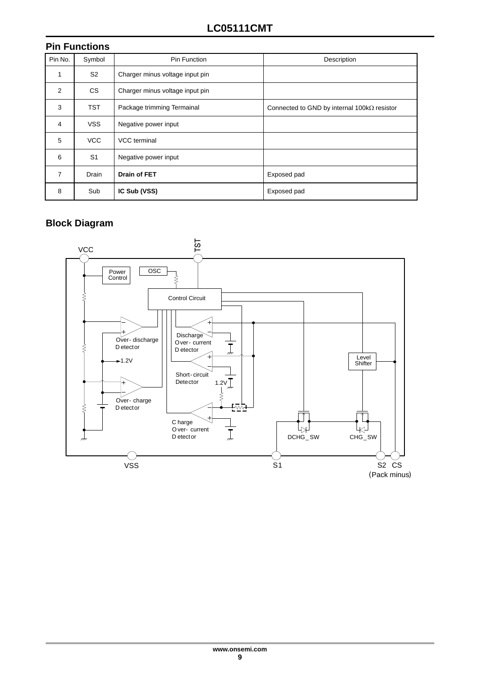|                | <b>Pin Functions</b> |                                 |                                                     |  |  |  |  |  |  |
|----------------|----------------------|---------------------------------|-----------------------------------------------------|--|--|--|--|--|--|
| Pin No.        | Symbol               | <b>Pin Function</b>             | Description                                         |  |  |  |  |  |  |
| 1              | S <sub>2</sub>       | Charger minus voltage input pin |                                                     |  |  |  |  |  |  |
| 2              | CS.                  | Charger minus voltage input pin |                                                     |  |  |  |  |  |  |
| 3              | <b>TST</b>           | Package trimming Termainal      | Connected to GND by internal 100 $k\Omega$ resistor |  |  |  |  |  |  |
| $\overline{4}$ | <b>VSS</b>           | Negative power input            |                                                     |  |  |  |  |  |  |
| 5              | <b>VCC</b>           | VCC terminal                    |                                                     |  |  |  |  |  |  |
| 6              | S <sub>1</sub>       | Negative power input            |                                                     |  |  |  |  |  |  |
| $\overline{7}$ | <b>Drain</b>         | <b>Drain of FET</b>             | Exposed pad                                         |  |  |  |  |  |  |
| 8              | Sub                  | IC Sub (VSS)                    | Exposed pad                                         |  |  |  |  |  |  |

## **Block Diagram**

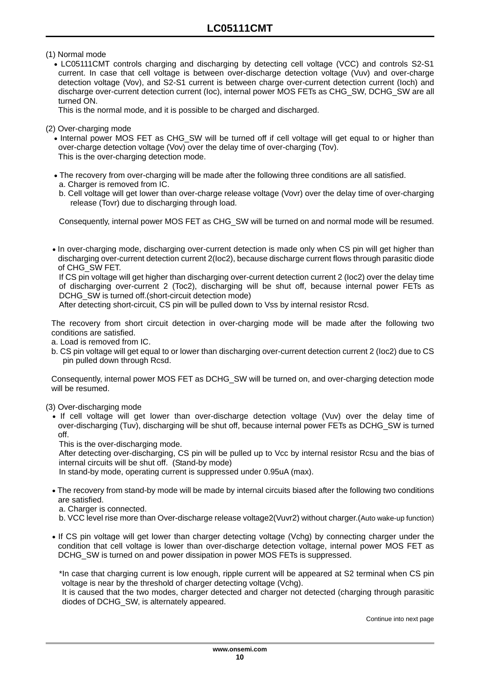(1) Normal mode

 LC05111CMT controls charging and discharging by detecting cell voltage (VCC) and controls S2-S1 current. In case that cell voltage is between over-discharge detection voltage (Vuv) and over-charge detection voltage (Vov), and S2-S1 current is between charge over-current detection current (Ioch) and discharge over-current detection current (Ioc), internal power MOS FETs as CHG\_SW, DCHG\_SW are all turned ON.

This is the normal mode, and it is possible to be charged and discharged.

(2) Over-charging mode

• Internal power MOS FET as CHG SW will be turned off if cell voltage will get equal to or higher than over-charge detection voltage (Vov) over the delay time of over-charging (Tov). This is the over-charging detection mode.

- The recovery from over-charging will be made after the following three conditions are all satisfied. a. Charger is removed from IC.
- b. Cell voltage will get lower than over-charge release voltage (Vovr) over the delay time of over-charging release (Tovr) due to discharging through load.

Consequently, internal power MOS FET as CHG\_SW will be turned on and normal mode will be resumed.

• In over-charging mode, discharging over-current detection is made only when CS pin will get higher than discharging over-current detection current 2(Ioc2), because discharge current flows through parasitic diode of CHG\_SW FET.

If CS pin voltage will get higher than discharging over-current detection current 2 (Ioc2) over the delay time of discharging over-current 2 (Toc2), discharging will be shut off, because internal power FETs as DCHG SW is turned off.(short-circuit detection mode)

After detecting short-circuit, CS pin will be pulled down to Vss by internal resistor Rcsd.

The recovery from short circuit detection in over-charging mode will be made after the following two conditions are satisfied.

a. Load is removed from IC.

b. CS pin voltage will get equal to or lower than discharging over-current detection current 2 (Ioc2) due to CS pin pulled down through Rcsd.

Consequently, internal power MOS FET as DCHG\_SW will be turned on, and over-charging detection mode will be resumed.

(3) Over-discharging mode

 If cell voltage will get lower than over-discharge detection voltage (Vuv) over the delay time of over-discharging (Tuv), discharging will be shut off, because internal power FETs as DCHG\_SW is turned off.

This is the over-discharging mode.

After detecting over-discharging, CS pin will be pulled up to Vcc by internal resistor Rcsu and the bias of internal circuits will be shut off. (Stand-by mode)

In stand-by mode, operating current is suppressed under 0.95uA (max).

 The recovery from stand-by mode will be made by internal circuits biased after the following two conditions are satisfied.

a. Charger is connected.

- b. VCC level rise more than Over-discharge release voltage2(Vuvr2) without charger.(Auto wake-up function)
- If CS pin voltage will get lower than charger detecting voltage (Vchg) by connecting charger under the condition that cell voltage is lower than over-discharge detection voltage, internal power MOS FET as DCHG SW is turned on and power dissipation in power MOS FETs is suppressed.

\*In case that charging current is low enough, ripple current will be appeared at S2 terminal when CS pin voltage is near by the threshold of charger detecting voltage (Vchg).

It is caused that the two modes, charger detected and charger not detected (charging through parasitic diodes of DCHG\_SW, is alternately appeared.

Continue into next page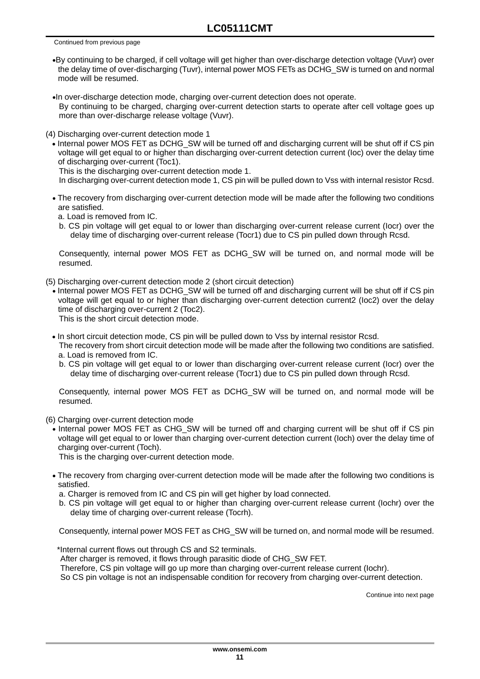Continued from previous page

- By continuing to be charged, if cell voltage will get higher than over-discharge detection voltage (Vuvr) over the delay time of over-discharging (Tuvr), internal power MOS FETs as DCHG\_SW is turned on and normal mode will be resumed.
- In over-discharge detection mode, charging over-current detection does not operate. By continuing to be charged, charging over-current detection starts to operate after cell voltage goes up more than over-discharge release voltage (Vuvr).
- (4) Discharging over-current detection mode 1
	- Internal power MOS FET as DCHG\_SW will be turned off and discharging current will be shut off if CS pin voltage will get equal to or higher than discharging over-current detection current (Ioc) over the delay time of discharging over-current (Toc1).

This is the discharging over-current detection mode 1.

In discharging over-current detection mode 1, CS pin will be pulled down to Vss with internal resistor Rcsd.

 The recovery from discharging over-current detection mode will be made after the following two conditions are satisfied.

a. Load is removed from IC.

b. CS pin voltage will get equal to or lower than discharging over-current release current (Iocr) over the delay time of discharging over-current release (Tocr1) due to CS pin pulled down through Rcsd.

Consequently, internal power MOS FET as DCHG\_SW will be turned on, and normal mode will be resumed.

- (5) Discharging over-current detection mode 2 (short circuit detection)
	- Internal power MOS FET as DCHG SW will be turned off and discharging current will be shut off if CS pin voltage will get equal to or higher than discharging over-current detection current2 (Ioc2) over the delay time of discharging over-current 2 (Toc2). This is the short circuit detection mode.

• In short circuit detection mode, CS pin will be pulled down to Vss by internal resistor Rcsd.

- The recovery from short circuit detection mode will be made after the following two conditions are satisfied.
- a. Load is removed from IC.
- b. CS pin voltage will get equal to or lower than discharging over-current release current (Iocr) over the delay time of discharging over-current release (Tocr1) due to CS pin pulled down through Rcsd.

Consequently, internal power MOS FET as DCHG\_SW will be turned on, and normal mode will be resumed.

- (6) Charging over-current detection mode
	- Internal power MOS FET as CHG SW will be turned off and charging current will be shut off if CS pin voltage will get equal to or lower than charging over-current detection current (Ioch) over the delay time of charging over-current (Toch).

This is the charging over-current detection mode.

- The recovery from charging over-current detection mode will be made after the following two conditions is satisfied.
	- a. Charger is removed from IC and CS pin will get higher by load connected.
	- b. CS pin voltage will get equal to or higher than charging over-current release current (Iochr) over the delay time of charging over-current release (Tocrh).

Consequently, internal power MOS FET as CHG\_SW will be turned on, and normal mode will be resumed.

\*Internal current flows out through CS and S2 terminals.

After charger is removed, it flows through parasitic diode of CHG\_SW FET.

Therefore, CS pin voltage will go up more than charging over-current release current (lochr).

So CS pin voltage is not an indispensable condition for recovery from charging over-current detection.

Continue into next page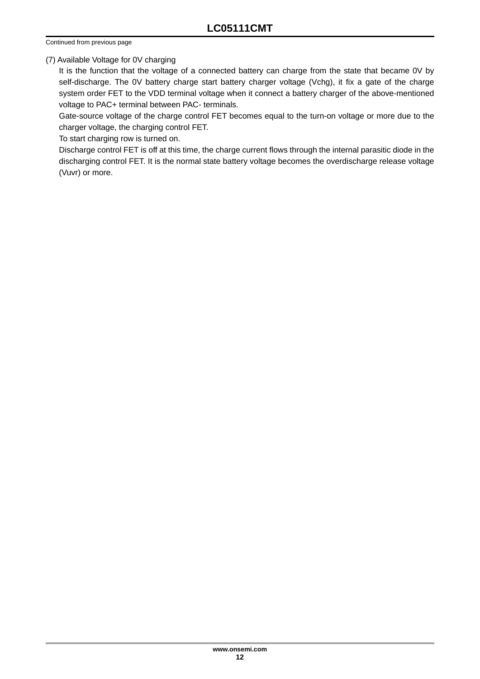Continued from previous page

#### (7) Available Voltage for 0V charging

It is the function that the voltage of a connected battery can charge from the state that became 0V by self-discharge. The 0V battery charge start battery charger voltage (Vchg), it fix a gate of the charge system order FET to the VDD terminal voltage when it connect a battery charger of the above-mentioned voltage to PAC+ terminal between PAC- terminals.

Gate-source voltage of the charge control FET becomes equal to the turn-on voltage or more due to the charger voltage, the charging control FET.

To start charging row is turned on.

Discharge control FET is off at this time, the charge current flows through the internal parasitic diode in the discharging control FET. It is the normal state battery voltage becomes the overdischarge release voltage (Vuvr) or more.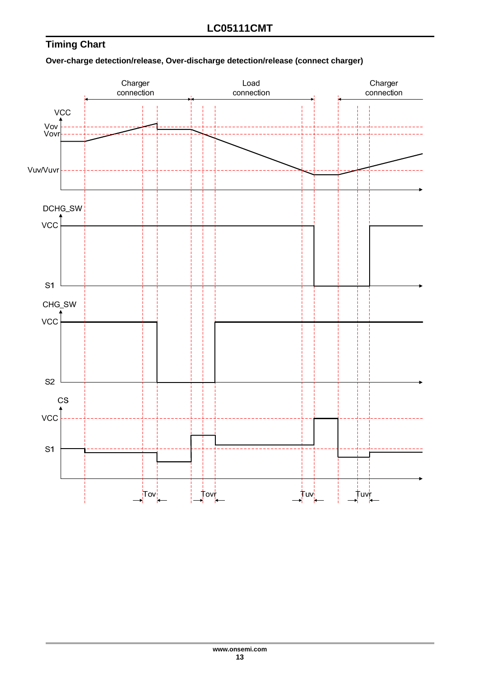## **Timing Chart**

#### **Over-charge detection/release, Over-discharge detection/release (connect charger)**

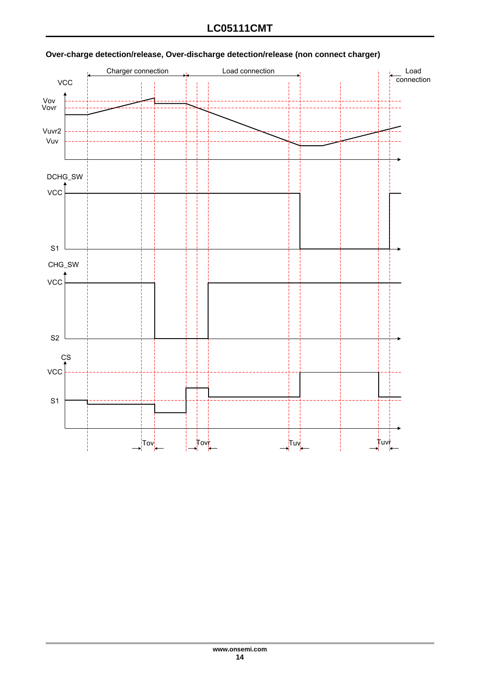

## **Over-charge detection/release, Over-discharge detection/release (non connect charger)**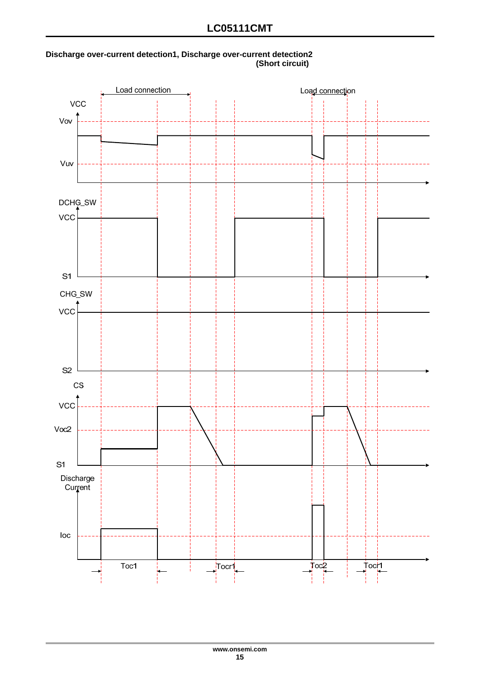

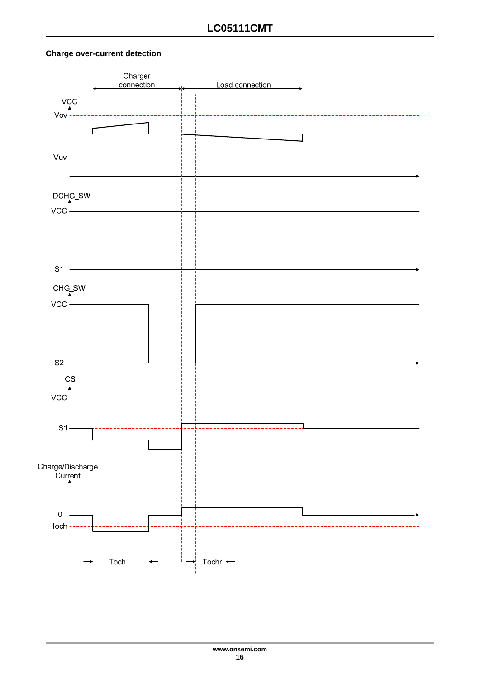#### **Charge over-current detection**